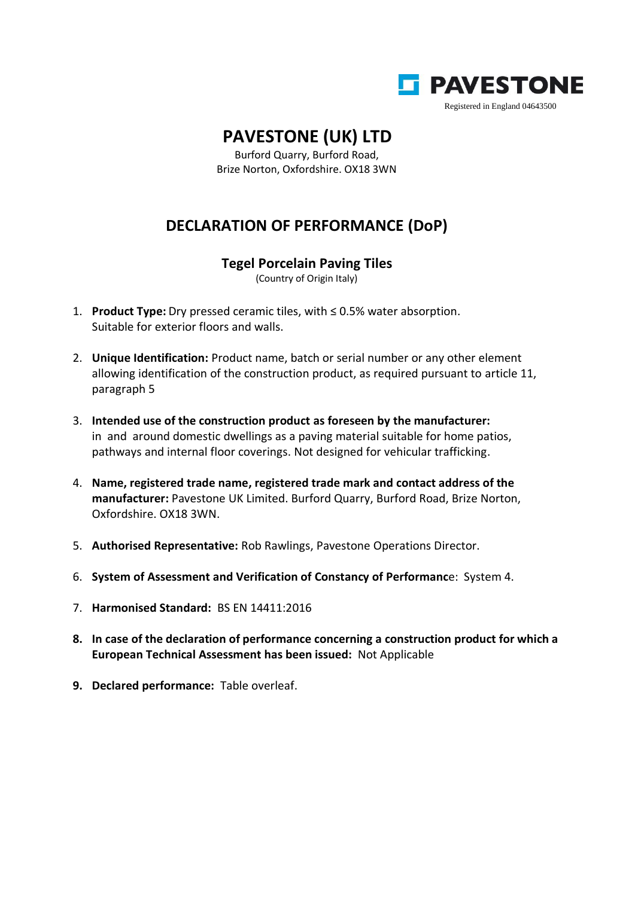

## **PAVESTONE (UK) LTD**

Burford Quarry, Burford Road, Brize Norton, Oxfordshire. OX18 3WN

## **DECLARATION OF PERFORMANCE (DoP)**

## **Tegel Porcelain Paving Tiles**

(Country of Origin Italy)

- 1. **Product Type:** Dry pressed ceramic tiles, with ≤ 0.5% water absorption. Suitable for exterior floors and walls.
- 2. **Unique Identification:** Product name, batch or serial number or any other element allowing identification of the construction product, as required pursuant to article 11, paragraph 5
- 3. **Intended use of the construction product as foreseen by the manufacturer:** in and around domestic dwellings as a paving material suitable for home patios, pathways and internal floor coverings. Not designed for vehicular trafficking.
- 4. **Name, registered trade name, registered trade mark and contact address of the manufacturer:** Pavestone UK Limited. Burford Quarry, Burford Road, Brize Norton, Oxfordshire. OX18 3WN.
- 5. **Authorised Representative:** Rob Rawlings, Pavestone Operations Director.
- 6. **System of Assessment and Verification of Constancy of Performanc**e: System 4.
- 7. **Harmonised Standard:** BS EN 14411:2016
- **8. In case of the declaration of performance concerning a construction product for which a European Technical Assessment has been issued:** Not Applicable
- **9. Declared performance:** Table overleaf.